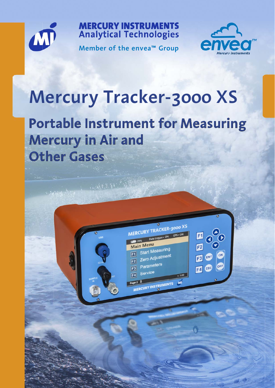

**MERCURY INSTRUMENTS Analytical Technologies** 

**Member of the envea™ Group**



# **Mercury Tracker-3000 XS**

## **Portable Instrument for Measuring Mercury in Air and Other Gases**

MERCURY TRACKER-3000 XS

Start Measuring

Zero Adjustment

CURY INSTRUMENTS

Parameters

Service

Main Menu

 $F1$ 

 $|F2|$ 

 $\mathsf{F3}$ 

 $\boxed{F4}$ 

Data Logger= ON GPS= ON

 $v. 1.00$ 

 $M$ 

 $\blacksquare$ 

F4 ESC

ENT  $F3$ 

F<sub>2</sub>

建造物品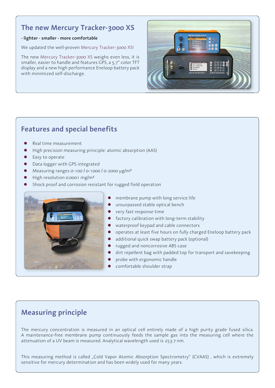### **The new Mercury Tracker-3000 XS**

### **- lighter - smaller - more comfortable**

We updated the well-proven Mercury Tracker-3000 XS!

The new Mercury Tracker-3000 XS weighs even less, it is smaller, easier to handle and features GPS, a 5.7" color TFT display and a new high performance Eneloop battery pack with minimized self-discharge.



### **Features and special benefits**

- Real time measurement
- High precision measuring principle: atomic absorption (AAS)
- Easy to operate
- Data logger with GPS integrated
- Measuring ranges 0-100  $/$  0-1000  $/$  0-2000  $\mu$ g/m<sup>3</sup>
- High resolution 0.0001 mg/m<sup>3</sup>
- Shock proof and corrosion resistant for rugged field operation



- membrane pump with long service life
- unsurpassed stable optical bench
- very fast response time
- factory calibration with long-term stability
- waterproof keypad and cable connectors
- operates at least five hours on fully charged Eneloop battery pack
- additional quick swap battery pack (optional)
- rugged and noncorrosive ABS case
- dirt repellent bag with padded top for transport and savekeeping
- probe with ergonomic handle
- comfortable shoulder strap

### **Measuring principle**

The mercury concentration is measured in an optical cell entirely made of a high purity grade fused silica. A maintenance-free membrane pump continuously feeds the sample gas into the measuring cell where the attenuation of a UV beam is measured. Analytical wavelength used is 253.7 nm.

This measuring method is called "Cold Vapor Atomic Absorption Spectrometry" (CVAAS), which is extremely sensitive for mercury determination and has been widely used for many years.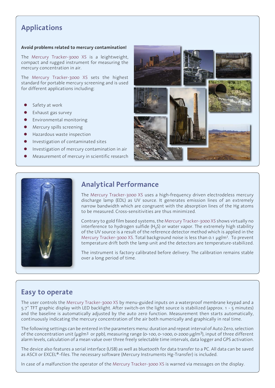### **Applications**

### **Avoid problems related to mercury contamination!**

The Mercury Tracker-3000 XS is a leightweight, compact and rugged instrument for measuring the mercury concentration in air.

The Mercury Tracker-3000 XS sets the highest standard for portable mercury screening and is used for different applications including:

- Safety at work
- Exhaust gas survey
- Environmental monitoring
- Mercury spills screening
- Hazardous waste inspection
- Investigation of contaminated sites
- Investigation of mercury contamination in air
- Measurement of mercury in scientific research





### **Analytical Performance**

The Mercury Tracker-3000 XS uses a high-frequency driven electrodeless mercury discharge lamp (EDL) as UV source. It generates emission lines of an extremely narrow bandwidth which are congruent with the absorption lines of the Hg atoms to be measured. Cross-sensitivities are thus minimized.

Contrary to gold film based systems, the Mercury Tracker-3000 XS shows virtually no interference to hydrogen sulfide (H<sub>2</sub>S) or water vapor. The extremely high stability of the UV source is a result of the reference detector method which is applied in the Mercury Tracker-3000 XS. Total background noise is less than 0.1 µg/m<sup>3</sup>. To prevent temperature drift both the lamp unit and the detectors are temperature-stabilized.

The instrument is factory calibrated before delivery. The calibration remains stable over a long period of time.

### **Easy to operate**

The user controls the Mercury Tracker-3000 XS by menu-guided inputs on a waterproof membrane keypad and a 5.7" TFT graphic display with LED backlight. After switch-on the light source is stabilized (approx. 1 - 5 minutes) and the baseline is automatically adjusted by the auto zero function. Measurement then starts automatically, continuously indicating the mercury concentration of the air both numerically and graphically in real time.

The following settings can be entered in the parameters menu: duration and repeat interval of Auto Zero, selection of the concentration unit ( $\mu$ g/m<sup>3</sup> or ppb), measuring range (0-100, 0-1000, 0-2000  $\mu$ g/m<sup>3</sup>), input of three different alarm levels, calculation of a mean value over three freely selectable time intervals, data logger and GPS activation.

The device also features a serial interface (USB) as well as bluetooth for data transfer to a PC. All data can be saved as ASCII or EXCEL®-files. The necessary software (Mercury Instruments Hg-Transfer) is included.

In case of a malfunction the operator of the Mercury Tracker-3000 XS is warned via messages on the display.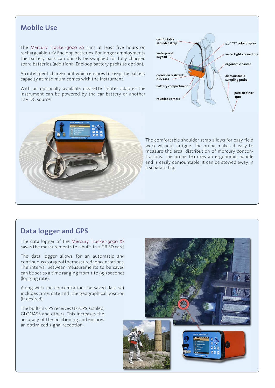### **Mobile Use**

The Mercury Tracker-3000 XS runs at least five hours on rechargeable 12V Eneloop batteries. For longer employments the battery pack can quickly be swapped for fully charged spare batteries (additional Eneloop battery packs as option).

An intelligent charger unit which ensures to keep the battery capacity at maximum comes with the instrument.

With an optionally available cigarette lighter adapter the instrument can be powered by the car battery or another 12V DC source.





The comfortable shoulder strap allows for easy field work without fatigue. The probe makes it easy to measure the areal distribution of mercury concentrations. The probe features an ergonomic handle and is easily demountable. It can be stowed away in a separate bag.

### **Data logger and GPS**

The data logger of the Mercury Tracker-3000 XS saves the measurements to a built-in 2 GB SD card.

The data logger allows for an automatic and continuous storage of the measured concentrations. The interval between measurements to be saved can be set to a time ranging from 1 to 999 seconds (logging rate).

Along with the concentration the saved data set includes time, date and the geographical position (if desired).

The built-in GPS receives US-GPS, Galileo, GLONASS and others. This increases the accuracy of the positioning and ensures an optimized signal reception.

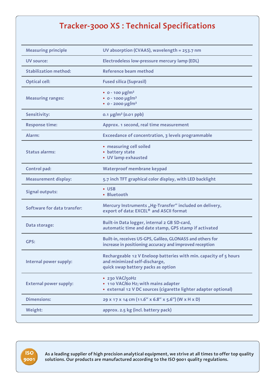### **Tracker-3000 XS : Technical Specifications**

| <b>Measuring principle</b>    | UV absorption (CVAAS), wavelength = 253.7 nm                                                                                             |  |  |
|-------------------------------|------------------------------------------------------------------------------------------------------------------------------------------|--|--|
| UV source:                    | Electrodeless low-pressure mercury lamp (EDL)                                                                                            |  |  |
| <b>Stabilization method:</b>  | Reference beam method                                                                                                                    |  |  |
| <b>Optical cell:</b>          | <b>Fused silica (Suprasil)</b>                                                                                                           |  |  |
| <b>Measuring ranges:</b>      | $\cdot$ 0 - 100 µg/m <sup>3</sup><br>$\cdot$ 0 - 1000 µg/m <sup>3</sup><br>$\cdot$ 0 - 2000 µg/m <sup>3</sup>                            |  |  |
| Sensitivity:                  | $0.1 \mu g/m^3$ (0.01 ppb)                                                                                                               |  |  |
| <b>Response time:</b>         | Approx. 1 second, real time measurement                                                                                                  |  |  |
| Alarm:                        | Exceedance of concentration, 3 levels programmable                                                                                       |  |  |
| <b>Status alarms:</b>         | • measuring cell soiled<br>• battery state<br>• UV lamp exhausted                                                                        |  |  |
| Control pad:                  | Waterproof membrane keypad                                                                                                               |  |  |
| <b>Measurement display:</b>   | 5.7 inch TFT graphical color display, with LED backlight                                                                                 |  |  |
| <b>Signal outputs:</b>        | • USB<br>• Bluetooth                                                                                                                     |  |  |
| Software for data transfer:   | Mercury Instruments "Hg-Transfer" included on delivery,<br>export of data: EXCEL® and ASCII format                                       |  |  |
| Data storage:                 | Built-in Data logger, internal 2 GB SD-card,<br>automatic time and date stamp, GPS stamp if activated                                    |  |  |
| GPS:                          | Built-in, receives US-GPS, Galileo, GLONASS and others for<br>increase in positioning accuracy and improved reception                    |  |  |
| Internal power supply:        | Rechargeable 12 V Eneloop batteries with min. capacity of 5 hours<br>and minimized self-discharge,<br>quick swap battery packs as option |  |  |
| <b>External power supply:</b> | · 230 VAC/50Hz<br>• 110 VAC/60 Hz; with mains adapter<br>· external 12 V DC sources (cigarette lighter adapter optional)                 |  |  |
| <b>Dimensions:</b>            | 29 x 17 x 14 cm (11.6" x 6.8" x 5.6") (W x H x D)                                                                                        |  |  |
| Weight:                       | approx. 2.5 kg (incl. battery pack)                                                                                                      |  |  |



**As a leading supplier of high precision analytical equipment, we strive at all times to offer top quality solutions. Our products are manufactured according to the ISO 9001 quality regulations.**